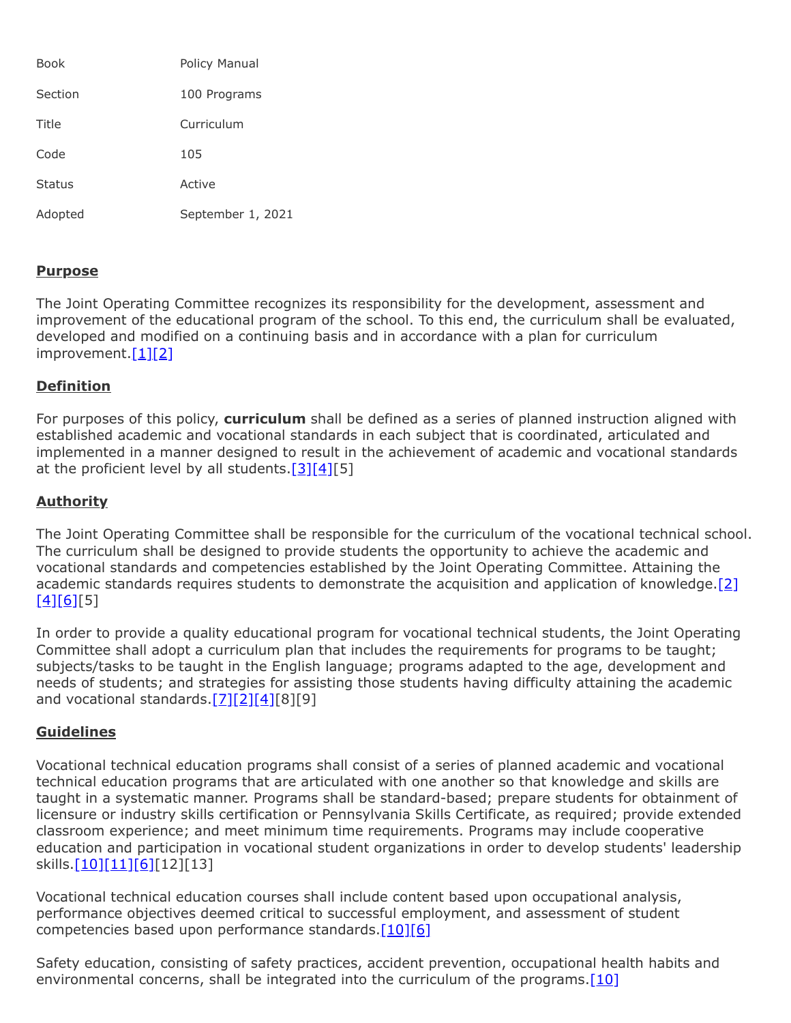| Book          | Policy Manual     |
|---------------|-------------------|
| Section       | 100 Programs      |
| Title         | Curriculum        |
| Code          | 105               |
| <b>Status</b> | Active            |
| Adopted       | September 1, 2021 |

## **Purpose**

The Joint Operating Committee recognizes its responsibility for the development, assessment and improvement of the educational program of the school. To this end, the curriculum shall be evaluated, developed and modified on a continuing basis and in accordance with a plan for curriculum improvement. [\[1\]](http://www.legis.state.pa.us/cfdocs/legis/LI/uconsCheck.cfm?txtType=HTM&yr=1949&sessInd=0&smthLwInd=0&act=14&chpt=18&sctn=5&subsctn=0)[\[2\]](http://pacodeandbulletin.gov/Display/pacode?file=/secure/pacode/data/022/chapter4/s4.4.html&d=reduce)

## **Definition**

For purposes of this policy, **curriculum** shall be defined as a series of planned instruction aligned with established academic and vocational standards in each subject that is coordinated, articulated and implemented in a manner designed to result in the achievement of academic and vocational standards at the proficient level by all students. $[3][4][5]$  $[3][4][5]$  $[3][4][5]$ 

## **Authority**

The Joint Operating Committee shall be responsible for the curriculum of the vocational technical school. The curriculum shall be designed to provide students the opportunity to achieve the academic and vocational standards and competencies established by the Joint Operating Committee. Attaining the academic standards requires students to demonstrate the acquisition and application of knowledge.[\[2\]](http://pacodeandbulletin.gov/Display/pacode?file=/secure/pacode/data/022/chapter4/s4.4.html&d=reduce)  $[4][6][5]$  $[4][6][5]$  $[4][6][5]$ 

In order to provide a quality educational program for vocational technical students, the Joint Operating Committee shall adopt a curriculum plan that includes the requirements for programs to be taught; subjects/tasks to be taught in the English language; programs adapted to the age, development and needs of students; and strategies for assisting those students having difficulty attaining the academic and vocational standards[.\[7\]](http://www.legis.state.pa.us/cfdocs/legis/LI/uconsCheck.cfm?txtType=HTM&yr=1949&sessInd=0&smthLwInd=0&act=14&chpt=18&sctn=41&subsctn=0)[\[2\]](http://pacodeandbulletin.gov/Display/pacode?file=/secure/pacode/data/022/chapter4/s4.4.html&d=reduce)[\[4\]\[](http://pacodeandbulletin.gov/Display/pacode?file=/secure/pacode/data/022/chapter4/s4.12.html&d=reduce)8][9]

### **Guidelines**

Vocational technical education programs shall consist of a series of planned academic and vocational technical education programs that are articulated with one another so that knowledge and skills are taught in a systematic manner. Programs shall be standard-based; prepare students for obtainment of licensure or industry skills certification or Pennsylvania Skills Certificate, as required; provide extended classroom experience; and meet minimum time requirements. Programs may include cooperative education and participation in vocational student organizations in order to develop students' leadership skills[.\[10\]](http://pacodeandbulletin.gov/Display/pacode?file=/secure/pacode/data/022/chapter4/s4.31.html&d=reduce)[\[11\]](http://pacodeandbulletin.gov/Display/pacode?file=/secure/pacode/data/022/chapter11/s11.28.html&d=reduce)[\[6\]\[](http://pacodeandbulletin.gov/Display/pacode?file=/secure/pacode/data/022/chapter339/s339.22.html&d=reduce)12][13]

Vocational technical education courses shall include content based upon occupational analysis, performance objectives deemed critical to successful employment, and assessment of student competencies based upon performance standards.<sup>[10][\[6\]](http://pacodeandbulletin.gov/Display/pacode?file=/secure/pacode/data/022/chapter339/s339.22.html&d=reduce)</sup>

Safety education, consisting of safety practices, accident prevention, occupational health habits and environmental concerns, shall be integrated into the curriculum of the programs. $[10]$